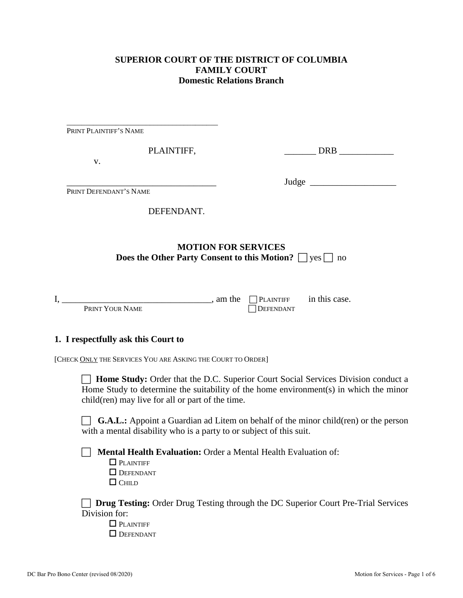## **SUPERIOR COURT OF THE DISTRICT OF COLUMBIA FAMILY COURT Domestic Relations Branch**

| PRINT PLAINTIFF'S NAME              |                                                                                                               |                                      |                                                                                                                                                                                   |
|-------------------------------------|---------------------------------------------------------------------------------------------------------------|--------------------------------------|-----------------------------------------------------------------------------------------------------------------------------------------------------------------------------------|
|                                     | PLAINTIFF,                                                                                                    |                                      | DRB                                                                                                                                                                               |
| v.                                  |                                                                                                               |                                      |                                                                                                                                                                                   |
| PRINT DEFENDANT'S NAME              |                                                                                                               |                                      | Judge                                                                                                                                                                             |
|                                     |                                                                                                               |                                      |                                                                                                                                                                                   |
|                                     | DEFENDANT.                                                                                                    |                                      |                                                                                                                                                                                   |
|                                     | <b>Does the Other Party Consent to this Motion?</b> $\Box$ yes $\Box$ no                                      | <b>MOTION FOR SERVICES</b>           |                                                                                                                                                                                   |
| PRINT YOUR NAME                     | a m the                                                                                                       | $\Box$ PLAINTIFF<br><b>DEFENDANT</b> | in this case.                                                                                                                                                                     |
| 1. I respectfully ask this Court to |                                                                                                               |                                      |                                                                                                                                                                                   |
|                                     | [CHECK ONLY THE SERVICES YOU ARE ASKING THE COURT TO ORDER]                                                   |                                      |                                                                                                                                                                                   |
|                                     | child(ren) may live for all or part of the time.                                                              |                                      | <b>Home Study:</b> Order that the D.C. Superior Court Social Services Division conduct a<br>Home Study to determine the suitability of the home environment(s) in which the minor |
|                                     | with a mental disability who is a party to or subject of this suit.                                           |                                      | <b>G.A.L.:</b> Appoint a Guardian ad Litem on behalf of the minor child(ren) or the person                                                                                        |
| $\Box$ CHILD                        | <b>Mental Health Evaluation: Order a Mental Health Evaluation of:</b><br>$\Box$ PLAINTIFF<br><b>DEFENDANT</b> |                                      |                                                                                                                                                                                   |
| Division for:                       | $\Box$ PLAINTIFF<br><b>DEFENDANT</b>                                                                          |                                      | Drug Testing: Order Drug Testing through the DC Superior Court Pre-Trial Services                                                                                                 |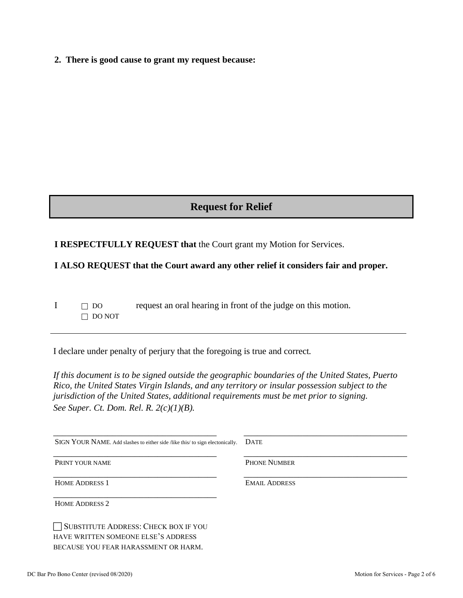**2. There is good cause to grant my request because:**

# **Request for Relief**

### **I RESPECTFULLY REQUEST that** the Court grant my Motion for Services.

#### **I ALSO REQUEST that the Court award any other relief it considers fair and proper.**

 $I \cap$  DO request an oral hearing in front of the judge on this motion.  $\Box$  DO NOT

I declare under penalty of perjury that the foregoing is true and correct*.* 

*If this document is to be signed outside the geographic boundaries of the United States, Puerto Rico, the United States Virgin Islands, and any territory or insular possession subject to the jurisdiction of the United States, additional requirements must be met prior to signing. See Super. Ct. Dom. Rel. R. 2(c)(1)(B).*

| SIGN YOUR NAME. Add slashes to either side /like this/ to sign electonically. | <b>DATE</b>          |
|-------------------------------------------------------------------------------|----------------------|
| PRINT YOUR NAME                                                               | <b>PHONE NUMBER</b>  |
| <b>HOME ADDRESS 1</b>                                                         | <b>EMAIL ADDRESS</b> |
| <b>HOME ADDRESS 2</b>                                                         |                      |
| <b>SUBSTITUTE ADDRESS: CHECK BOX IF YOU</b>                                   |                      |

HAVE WRITTEN SOMEONE ELSE'S ADDRESS BECAUSE YOU FEAR HARASSMENT OR HARM.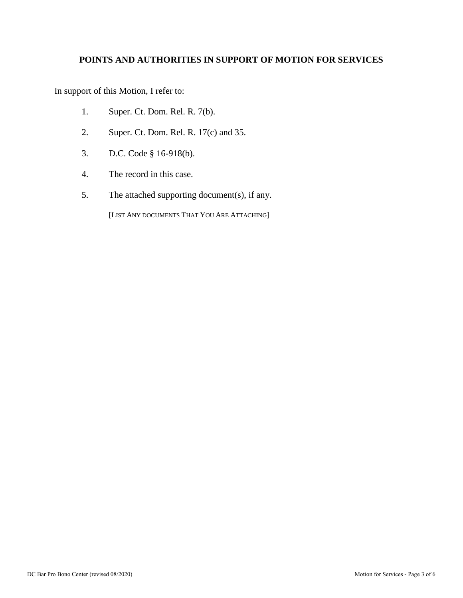### **POINTS AND AUTHORITIES IN SUPPORT OF MOTION FOR SERVICES**

In support of this Motion, I refer to:

- 1. Super. Ct. Dom. Rel. R. 7(b).
- 2. Super. Ct. Dom. Rel. R. 17(c) and 35.
- 3. D.C. Code § 16-918(b).
- 4. The record in this case.
- 5. The attached supporting document(s), if any.

[LIST ANY DOCUMENTS THAT YOU ARE ATTACHING]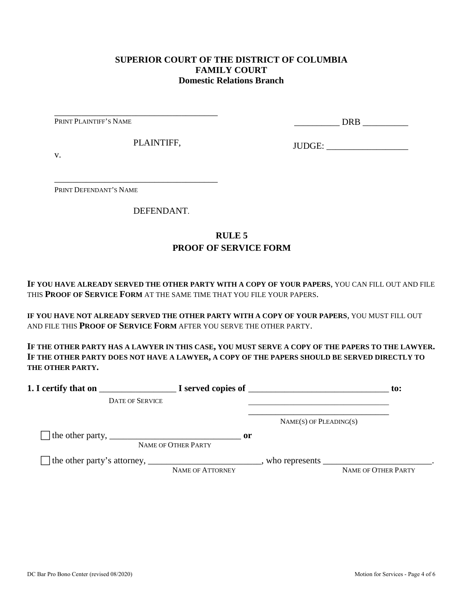#### **SUPERIOR COURT OF THE DISTRICT OF COLUMBIA FAMILY COURT Domestic Relations Branch**

PRINT PLAINTIFF'S NAME

\_\_\_\_\_\_\_\_\_\_ DRB \_\_\_\_\_\_\_\_\_\_

PLAINTIFF,

\_\_\_\_\_\_\_\_\_\_\_\_\_\_\_\_\_\_\_\_\_\_\_\_\_\_\_\_\_\_\_\_\_\_\_\_

\_\_\_\_\_\_\_\_\_\_\_\_\_\_\_\_\_\_\_\_\_\_\_\_\_\_\_\_\_\_\_\_\_\_\_\_

JUDGE: \_\_\_\_\_\_\_\_\_\_\_\_\_\_\_\_\_\_

v.

PRINT DEFENDANT'S NAME

DEFENDANT.

# **RULE 5 PROOF OF SERVICE FORM**

**IF YOU HAVE ALREADY SERVED THE OTHER PARTY WITH A COPY OF YOUR PAPERS**, YOU CAN FILL OUT AND FILE THIS **PROOF OF SERVICE FORM** AT THE SAME TIME THAT YOU FILE YOUR PAPERS.

**IF YOU HAVE NOT ALREADY SERVED THE OTHER PARTY WITH A COPY OF YOUR PAPERS**, YOU MUST FILL OUT AND FILE THIS **PROOF OF SERVICE FORM** AFTER YOU SERVE THE OTHER PARTY.

**IF THE OTHER PARTY HAS A LAWYER IN THIS CASE, YOU MUST SERVE A COPY OF THE PAPERS TO THE LAWYER. IF THE OTHER PARTY DOES NOT HAVE A LAWYER, A COPY OF THE PAPERS SHOULD BE SERVED DIRECTLY TO THE OTHER PARTY.** 

|                                                                               |                                      |                             | to:                                                                                                               |
|-------------------------------------------------------------------------------|--------------------------------------|-----------------------------|-------------------------------------------------------------------------------------------------------------------|
| <b>DATE OF SERVICE</b>                                                        |                                      |                             |                                                                                                                   |
|                                                                               |                                      | $NAME(S)$ OF PLEADING $(S)$ |                                                                                                                   |
| The other party, $\frac{1}{\sqrt{1-\frac{1}{2}}}\left\{1-\frac{1}{2}\right\}$ | $\mathbf{or}$<br>NAME OF OTHER PARTY |                             |                                                                                                                   |
|                                                                               | <b>NAME OF ATTORNEY</b>              |                             | who represents $\frac{1}{\sqrt{1-\frac{1}{2}}}\left[\frac{1}{\sqrt{1-\frac{1}{2}}}\right]$<br>NAME OF OTHER PARTY |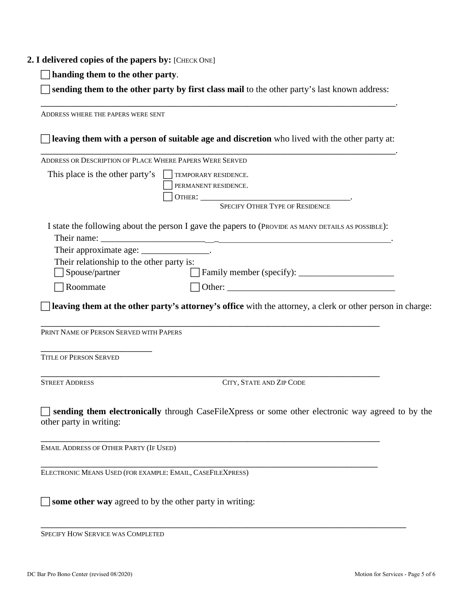#### **2. I delivered copies of the papers by:** [CHECK ONE]

**handing them to the other party**.

 **sending them to the other party by first class mail** to the other party's last known address: \_\_\_\_\_\_\_\_\_\_\_\_\_\_\_\_\_\_\_\_\_\_\_\_\_\_\_\_\_\_\_\_\_\_\_\_\_\_\_\_\_\_\_\_\_\_\_\_\_\_\_\_\_\_\_\_\_\_\_\_\_\_\_\_\_\_\_.

ADDRESS WHERE THE PAPERS WERE SENT **leaving them with a person of suitable age and discretion** who lived with the other party at: \_\_\_\_\_\_\_\_\_\_\_\_\_\_\_\_\_\_\_\_\_\_\_\_\_\_\_\_\_\_\_\_\_\_\_\_\_\_\_\_\_\_\_\_\_\_\_\_\_\_\_\_\_\_\_\_\_\_\_\_\_\_\_\_\_\_\_. ADDRESS OR DESCRIPTION OF PLACE WHERE PAPERS WERE SERVED This place is the other party's  $\Box$  TEMPORARY RESIDENCE. PERMANENT RESIDENCE. OTHER: \_\_\_\_\_\_\_\_\_\_\_\_\_\_\_\_\_\_\_\_\_\_\_\_\_\_\_\_\_\_\_\_\_. SPECIFY OTHER TYPE OF RESIDENCE I state the following about the person I gave the papers to (PROVIDE AS MANY DETAILS AS POSSIBLE): Their name: Their approximate age: \_\_\_\_\_\_\_\_\_\_\_\_\_\_\_\_. Their relationship to the other party is: Spouse/partner Family member (specify): \_\_\_\_\_\_\_\_\_\_\_\_\_\_\_\_\_\_\_\_\_  $\Box$  Roommate  $\Box$  Other: **leaving them at the other party's attorney's office** with the attorney, a clerk or other person in charge: \_\_\_\_\_\_\_\_\_\_\_\_\_\_\_\_\_\_\_\_\_\_\_\_\_\_\_\_\_\_\_\_\_\_\_\_\_\_\_\_\_\_\_\_\_\_\_\_\_\_\_\_\_\_\_\_\_\_\_\_\_\_\_\_ PRINT NAME OF PERSON SERVED WITH PAPERS \_\_\_\_\_\_\_\_\_\_\_\_\_\_\_\_\_\_\_\_\_ TITLE OF PERSON SERVED \_\_\_\_\_\_\_\_\_\_\_\_\_\_\_\_\_\_\_\_\_\_\_\_\_\_\_\_\_\_\_\_\_\_\_\_\_\_\_\_\_\_\_\_\_\_\_\_\_\_\_\_\_\_\_\_\_\_\_\_\_\_\_\_ STREET ADDRESS CITY, STATE AND ZIP CODE **sending them electronically** through CaseFileXpress or some other electronic way agreed to by the other party in writing: \_\_\_\_\_\_\_\_\_\_\_\_\_\_\_\_\_\_\_\_\_\_\_\_\_\_\_\_\_\_\_\_\_\_\_\_\_\_\_\_\_\_\_\_\_\_\_\_\_\_\_\_\_\_\_\_\_\_\_\_\_\_\_\_ EMAIL ADDRESS OF OTHER PARTY (IF USED) \_\_\_\_\_\_\_\_\_\_\_\_\_\_\_\_\_\_\_\_\_\_\_\_\_\_\_\_\_\_\_\_\_\_\_\_\_\_\_\_\_\_\_\_\_\_\_\_\_\_\_\_\_\_\_\_\_\_\_\_\_\_\_\_ ELECTRONIC MEANS USED (FOR EXAMPLE: EMAIL, CASEFILEXPRESS)

\_\_\_\_\_\_\_\_\_\_\_\_\_\_\_\_\_\_\_\_\_\_\_\_\_\_\_\_\_\_\_\_\_\_\_\_\_\_\_\_\_\_\_\_\_\_\_\_\_\_\_\_\_\_\_\_\_\_\_\_\_\_\_\_\_\_\_\_\_ SPECIFY HOW SERVICE WAS COMPLETED

 $\Box$  **some other way** agreed to by the other party in writing: